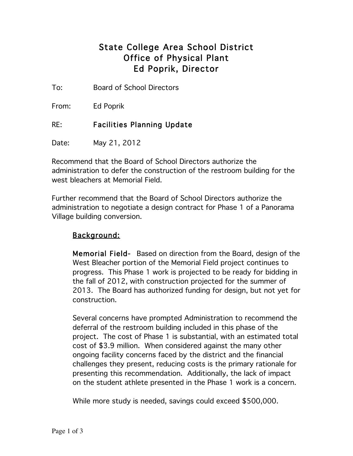## State College Area School District Office of Physical Plant Ed Poprik, Director

To: Board of School Directors

From: Ed Poprik

RE: Facilities Planning Update

Date: May 21, 2012

Recommend that the Board of School Directors authorize the administration to defer the construction of the restroom building for the west bleachers at Memorial Field.

Further recommend that the Board of School Directors authorize the administration to negotiate a design contract for Phase 1 of a Panorama Village building conversion.

## Background:

Memorial Field- Based on direction from the Board, design of the West Bleacher portion of the Memorial Field project continues to progress. This Phase 1 work is projected to be ready for bidding in the fall of 2012, with construction projected for the summer of 2013. The Board has authorized funding for design, but not yet for construction.

Several concerns have prompted Administration to recommend the deferral of the restroom building included in this phase of the project. The cost of Phase 1 is substantial, with an estimated total cost of \$3.9 million. When considered against the many other ongoing facility concerns faced by the district and the financial challenges they present, reducing costs is the primary rationale for presenting this recommendation. Additionally, the lack of impact on the student athlete presented in the Phase 1 work is a concern.

While more study is needed, savings could exceed \$500,000.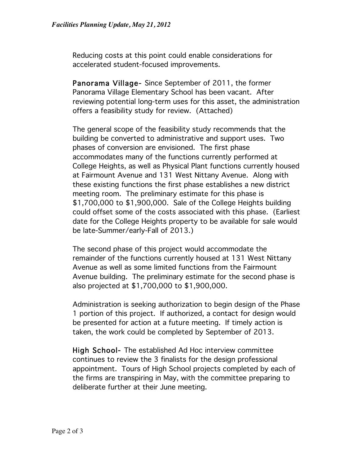Reducing costs at this point could enable considerations for accelerated student-focused improvements.

Panorama Village- Since September of 2011, the former Panorama Village Elementary School has been vacant. After reviewing potential long-term uses for this asset, the administration offers a feasibility study for review. (Attached)

The general scope of the feasibility study recommends that the building be converted to administrative and support uses. Two phases of conversion are envisioned. The first phase accommodates many of the functions currently performed at College Heights, as well as Physical Plant functions currently housed at Fairmount Avenue and 131 West Nittany Avenue. Along with these existing functions the first phase establishes a new district meeting room. The preliminary estimate for this phase is \$1,700,000 to \$1,900,000. Sale of the College Heights building could offset some of the costs associated with this phase. (Earliest date for the College Heights property to be available for sale would be late-Summer/early-Fall of 2013.)

The second phase of this project would accommodate the remainder of the functions currently housed at 131 West Nittany Avenue as well as some limited functions from the Fairmount Avenue building. The preliminary estimate for the second phase is also projected at \$1,700,000 to \$1,900,000.

Administration is seeking authorization to begin design of the Phase 1 portion of this project. If authorized, a contact for design would be presented for action at a future meeting. If timely action is taken, the work could be completed by September of 2013.

High School- The established Ad Hoc interview committee continues to review the 3 finalists for the design professional appointment. Tours of High School projects completed by each of the firms are transpiring in May, with the committee preparing to deliberate further at their June meeting.